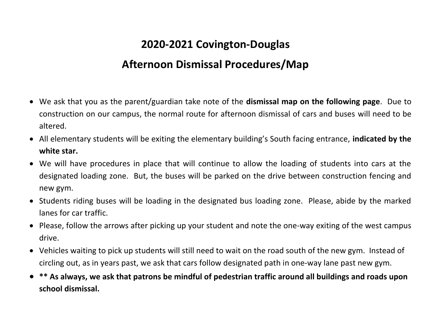## **2020-2021 Covington-Douglas**

## **Afternoon Dismissal Procedures/Map**

- We ask that you as the parent/guardian take note of the **dismissal map on the following page**. Due to construction on our campus, the normal route for afternoon dismissal of cars and buses will need to be altered.
- All elementary students will be exiting the elementary building's South facing entrance, **indicated by the white star.**
- We will have procedures in place that will continue to allow the loading of students into cars at the designated loading zone. But, the buses will be parked on the drive between construction fencing and new gym.
- Students riding buses will be loading in the designated bus loading zone. Please, abide by the marked lanes for car traffic.
- Please, follow the arrows after picking up your student and note the one-way exiting of the west campus drive.
- Vehicles waiting to pick up students will still need to wait on the road south of the new gym. Instead of circling out, as in years past, we ask that cars follow designated path in one-way lane past new gym.
- **\*\* As always, we ask that patrons be mindful of pedestrian traffic around all buildings and roads upon school dismissal.**